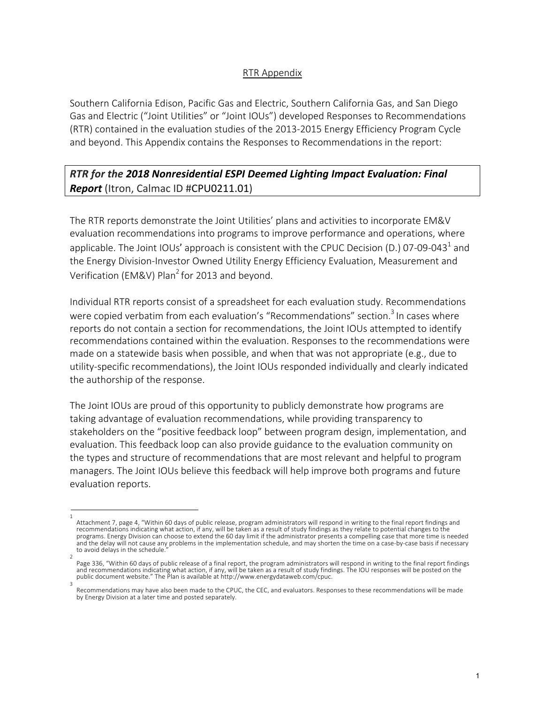#### RTR Appendix

Southern California Edison, Pacific Gas and Electric, Southern California Gas, and San Diego Gas and Electric ("Joint Utilities" or "Joint IOUs") developed Responses to Recommendations (RTR) contained in the evaluation studies of the 2013-2015 Energy Efficiency Program Cycle and beyond. This Appendix contains the Responses to Recommendations in the report:

## *RTR for the 2018 Nonresidential ESPI Deemed Lighting Impact Evaluation: Final Report* (Itron, Calmac ID #CPU0211.01)

The RTR reports demonstrate the Joint Utilities' plans and activities to incorporate EM&V evaluation recommendations into programs to improve performance and operations, where applicable. The Joint IOUs' approach is consistent with the CPUC Decision (D.) 07-09-043<sup>1</sup> and the Energy Division-Investor Owned Utility Energy Efficiency Evaluation, Measurement and Verification (EM&V) Plan<sup>2</sup> for 2013 and beyond.

Individual RTR reports consist of a spreadsheet for each evaluation study. Recommendations were copied verbatim from each evaluation's "Recommendations" section.<sup>3</sup> In cases where reports do not contain a section for recommendations, the Joint IOUs attempted to identify recommendations contained within the evaluation. Responses to the recommendations were made on a statewide basis when possible, and when that was not appropriate (e.g., due to utility-specific recommendations), the Joint IOUs responded individually and clearly indicated the authorship of the response.

The Joint IOUs are proud of this opportunity to publicly demonstrate how programs are taking advantage of evaluation recommendations, while providing transparency to stakeholders on the "positive feedback loop" between program design, implementation, and evaluation. This feedback loop can also provide guidance to the evaluation community on the types and structure of recommendations that are most relevant and helpful to program managers. The Joint IOUs believe this feedback will help improve both programs and future evaluation reports.

<sup>1</sup> Attachment 7, page 4, "Within 60 days of public release, program administrators will respond in writing to the final report findings and recommendations indicating what action, if any, will be taken as a result of study findings as they relate to potential changes to the programs. Energy Division can choose to extend the 60 day limit if the administrator presents a compelling case that more time is needed and the delay will not cause any problems in the implementation schedule, and may shorten the time on a case-by-case basis if necessary to avoid delays in the schedule.

<sup>2</sup> Page 336, "Within 60 days of public release of a final report, the program administrators will respond in writing to the final report findings and recommendations indicating what action, if any, will be taken as a result of study findings. The IOU responses will be posted on the public document website." The Plan is available at http://www.energydataweb.com/cpuc. 3

Recommendations may have also been made to the CPUC, the CEC, and evaluators. Responses to these recommendations will be made by Energy Division at a later time and posted separately.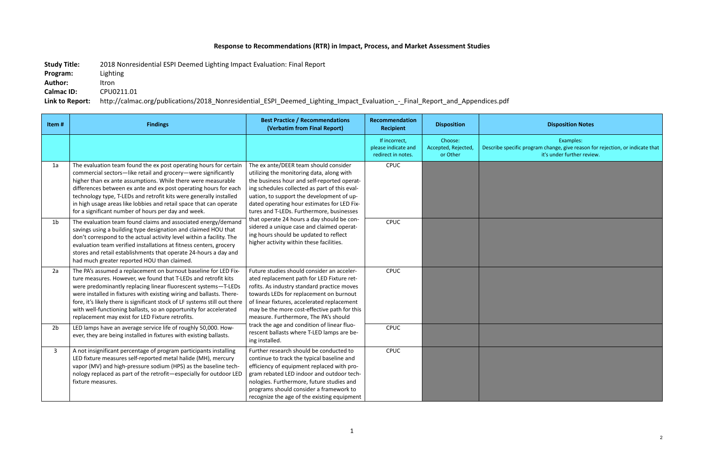# **Response to Recommendations (RTR) in Impact, Process, and Market Assessment Studies**

**Study Title:** 2018 Nonresidential ESPI Deemed Lighting Impact Evaluation: Final Report

**Program:** Lighting

**Author:** Itron

**Calmac ID:** CPU0211.01

**Link to Report:** http://calmac.org/publications/2018\_Nonresidential\_ESPI\_Deemed\_Lighting\_Impact\_Evaluation\_-\_Final\_Report\_and\_Appendices.pdf

### **Recipient Disposition Disposition Notes**

Examples: fic program change, give reason for rejection, or indicate that it's under further review.

| Item#          | <b>Findings</b>                                                                                                                                                                                                                                                                                                                                                                                                                                                                    | <b>Best Practice / Recommendations</b><br>(Verbatim from Final Report)                                                                                                                                                                                                                                                                                                                                                                                                                                       | Recommendation<br><b>Recipient</b>                         | <b>Disposition</b>                         |                        |
|----------------|------------------------------------------------------------------------------------------------------------------------------------------------------------------------------------------------------------------------------------------------------------------------------------------------------------------------------------------------------------------------------------------------------------------------------------------------------------------------------------|--------------------------------------------------------------------------------------------------------------------------------------------------------------------------------------------------------------------------------------------------------------------------------------------------------------------------------------------------------------------------------------------------------------------------------------------------------------------------------------------------------------|------------------------------------------------------------|--------------------------------------------|------------------------|
|                |                                                                                                                                                                                                                                                                                                                                                                                                                                                                                    |                                                                                                                                                                                                                                                                                                                                                                                                                                                                                                              | If incorrect,<br>please indicate and<br>redirect in notes. | Choose:<br>Accepted, Rejected,<br>or Other | <b>Describe specif</b> |
| 1a             | The evaluation team found the ex post operating hours for certain<br>commercial sectors-like retail and grocery-were significantly<br>higher than ex ante assumptions. While there were measurable<br>differences between ex ante and ex post operating hours for each<br>technology type, T-LEDs and retrofit kits were generally installed<br>in high usage areas like lobbies and retail space that can operate<br>for a significant number of hours per day and week.          | The ex ante/DEER team should consider<br>utilizing the monitoring data, along with<br>the business hour and self-reported operat-<br>ing schedules collected as part of this eval-<br>uation, to support the development of up-<br>dated operating hour estimates for LED Fix-<br>tures and T-LEDs. Furthermore, businesses<br>that operate 24 hours a day should be con-<br>sidered a unique case and claimed operat-<br>ing hours should be updated to reflect<br>higher activity within these facilities. | <b>CPUC</b>                                                |                                            |                        |
| 1 <sub>b</sub> | The evaluation team found claims and associated energy/demand<br>savings using a building type designation and claimed HOU that<br>don't correspond to the actual activity level within a facility. The<br>evaluation team verified installations at fitness centers, grocery<br>stores and retail establishments that operate 24-hours a day and<br>had much greater reported HOU than claimed.                                                                                   |                                                                                                                                                                                                                                                                                                                                                                                                                                                                                                              | <b>CPUC</b>                                                |                                            |                        |
| 2a             | The PA's assumed a replacement on burnout baseline for LED Fix-<br>ture measures. However, we found that T-LEDs and retrofit kits<br>were predominantly replacing linear fluorescent systems-T-LEDs<br>were installed in fixtures with existing wiring and ballasts. There-<br>fore, it's likely there is significant stock of LF systems still out there<br>with well-functioning ballasts, so an opportunity for accelerated<br>replacement may exist for LED Fixture retrofits. | Future studies should consider an acceler-<br>ated replacement path for LED Fixture ret-<br>rofits. As industry standard practice moves<br>towards LEDs for replacement on burnout<br>of linear fixtures, accelerated replacement<br>may be the more cost-effective path for this<br>measure. Furthermore, The PA's should<br>track the age and condition of linear fluo-<br>rescent ballasts where T-LED lamps are be-<br>ing installed.                                                                    | CPUC                                                       |                                            |                        |
| 2 <sub>b</sub> | LED lamps have an average service life of roughly 50,000. How-<br>ever, they are being installed in fixtures with existing ballasts.                                                                                                                                                                                                                                                                                                                                               |                                                                                                                                                                                                                                                                                                                                                                                                                                                                                                              | <b>CPUC</b>                                                |                                            |                        |
| 3              | A not insignificant percentage of program participants installing<br>LED fixture measures self-reported metal halide (MH), mercury<br>vapor (MV) and high-pressure sodium (HPS) as the baseline tech-<br>nology replaced as part of the retrofit-especially for outdoor LED<br>fixture measures.                                                                                                                                                                                   | Further research should be conducted to<br>continue to track the typical baseline and<br>efficiency of equipment replaced with pro-<br>gram rebated LED indoor and outdoor tech-<br>nologies. Furthermore, future studies and<br>programs should consider a framework to<br>recognize the age of the existing equipment                                                                                                                                                                                      | <b>CPUC</b>                                                |                                            |                        |